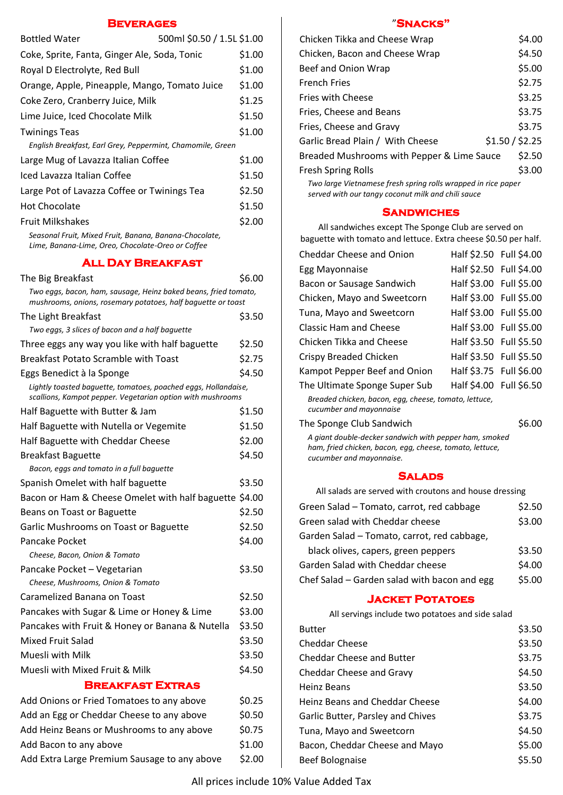#### **Beverages**

| <b>Bottled Water</b>                                       | 500ml \$0.50 / 1.5L \$1.00 |        |
|------------------------------------------------------------|----------------------------|--------|
| Coke, Sprite, Fanta, Ginger Ale, Soda, Tonic               |                            | \$1.00 |
| Royal D Electrolyte, Red Bull                              |                            | \$1.00 |
| Orange, Apple, Pineapple, Mango, Tomato Juice              |                            | \$1.00 |
| Coke Zero, Cranberry Juice, Milk                           |                            | \$1.25 |
| Lime Juice, Iced Chocolate Milk                            |                            | \$1.50 |
| <b>Twinings Teas</b>                                       |                            | \$1.00 |
| English Breakfast, Earl Grey, Peppermint, Chamomile, Green |                            |        |
| Large Mug of Lavazza Italian Coffee                        |                            | \$1.00 |
| Iced Lavazza Italian Coffee                                |                            | \$1.50 |
| Large Pot of Lavazza Coffee or Twinings Tea                |                            | \$2.50 |
| <b>Hot Chocolate</b>                                       |                            | \$1.50 |
| <b>Fruit Milkshakes</b>                                    |                            | \$2.00 |
| Seasonal Fruit, Mixed Fruit, Banana, Banana-Chocolate,     |                            |        |

**ALL DAY BBEAVEAS** 

*Lime, Banana-Lime, Oreo, Chocolate-Oreo or Coffee*

| ALL DAY BREAKFAST                                                                                                               |        |
|---------------------------------------------------------------------------------------------------------------------------------|--------|
| The Big Breakfast                                                                                                               | \$6.00 |
| Two eggs, bacon, ham, sausage, Heinz baked beans, fried tomato,<br>mushrooms, onions, rosemary potatoes, half baguette or toast |        |
| The Light Breakfast                                                                                                             | \$3.50 |
| Two eggs, 3 slices of bacon and a half baguette                                                                                 |        |
| Three eggs any way you like with half baguette                                                                                  | \$2.50 |
| <b>Breakfast Potato Scramble with Toast</b>                                                                                     | \$2.75 |
| Eggs Benedict à la Sponge                                                                                                       | \$4.50 |
| Lightly toasted baguette, tomatoes, poached eggs, Hollandaise,<br>scallions, Kampot pepper. Vegetarian option with mushrooms    |        |
| Half Baguette with Butter & Jam                                                                                                 | \$1.50 |
| Half Baguette with Nutella or Vegemite                                                                                          | \$1.50 |
| Half Baguette with Cheddar Cheese                                                                                               | \$2.00 |
| <b>Breakfast Baguette</b>                                                                                                       | \$4.50 |
| Bacon, eggs and tomato in a full baguette                                                                                       |        |
| Spanish Omelet with half baguette                                                                                               | \$3.50 |
| Bacon or Ham & Cheese Omelet with half baguette \$4.00                                                                          |        |
| Beans on Toast or Baguette                                                                                                      | \$2.50 |
| Garlic Mushrooms on Toast or Baguette                                                                                           | \$2.50 |
| Pancake Pocket                                                                                                                  | \$4.00 |
| Cheese, Bacon, Onion & Tomato                                                                                                   |        |
| Pancake Pocket - Vegetarian                                                                                                     | \$3.50 |
| Cheese, Mushrooms, Onion & Tomato                                                                                               |        |
| Caramelized Banana on Toast                                                                                                     | \$2.50 |
| Pancakes with Sugar & Lime or Honey & Lime                                                                                      | \$3.00 |
| Pancakes with Fruit & Honey or Banana & Nutella                                                                                 | \$3.50 |
| <b>Mixed Fruit Salad</b>                                                                                                        | \$3.50 |
| Muesli with Milk                                                                                                                | \$3.50 |
| Muesli with Mixed Fruit & Milk                                                                                                  | \$4.50 |
| <b>BREAKFAST EXTRAS</b>                                                                                                         |        |
| Add Onions or Fried Tomatoes to any above                                                                                       | \$0.25 |
| Add an Egg or Cheddar Cheese to any above                                                                                       | \$0.50 |

| <b>BREAKFAST EXTRAS</b>                   |        |
|-------------------------------------------|--------|
| Add Onions or Fried Tomatoes to any above | \$0.25 |
| Add an Egg or Cheddar Cheese to any above | \$0.50 |

Add Heinz Beans or Mushrooms to any above \$0.75

Add Bacon to any above \$1.00 Add Extra Large Premium Sausage to any above \$2.00

#### "**Snacks"**

| Chicken Tikka and Cheese Wrap                                 | \$4.00 |
|---------------------------------------------------------------|--------|
| Chicken, Bacon and Cheese Wrap                                | \$4.50 |
| Beef and Onion Wrap                                           | \$5.00 |
| <b>French Fries</b>                                           | \$2.75 |
| <b>Fries with Cheese</b>                                      | \$3.25 |
| Fries, Cheese and Beans                                       | \$3.75 |
| Fries, Cheese and Gravy                                       | \$3.75 |
| \$1.50 / \$2.25<br>Garlic Bread Plain / With Cheese           |        |
| Breaded Mushrooms with Pepper & Lime Sauce                    | \$2.50 |
| <b>Fresh Spring Rolls</b>                                     | \$3.00 |
| Two large Vietnamese fresh spring rolls wrapped in rice paper |        |

*served with our tangy coconut milk and chili sauce* 

#### **Sandwiches**

All sandwiches except The Sponge Club are served on baguette with tomato and lettuce. Extra cheese \$0.50 per half.

| <b>Cheddar Cheese and Onion</b>                                                  | Half \$2.50 Full \$4.00 |               |
|----------------------------------------------------------------------------------|-------------------------|---------------|
| Egg Mayonnaise                                                                   | Half \$2.50 Full \$4.00 |               |
| Bacon or Sausage Sandwich                                                        | Half \$3.00 Full \$5.00 |               |
| Chicken, Mayo and Sweetcorn                                                      | Half \$3.00 Full \$5.00 |               |
| Tuna, Mayo and Sweetcorn                                                         | Half \$3.00 Full \$5.00 |               |
| <b>Classic Ham and Cheese</b>                                                    | Half \$3.00 Full \$5.00 |               |
| Chicken Tikka and Cheese                                                         | Half \$3.50 Full \$5.50 |               |
| Crispy Breaded Chicken                                                           | Half \$3.50 Full \$5.50 |               |
| Kampot Pepper Beef and Onion                                                     | Half \$3.75 Full \$6.00 |               |
| The Ultimate Sponge Super Sub                                                    | Half \$4.00 Full \$6.50 |               |
| Breaded chicken, bacon, egg, cheese, tomato, lettuce,<br>cucumber and mayonnaise |                         |               |
|                                                                                  |                         | $\sim$ $\sim$ |

The Sponge Club Sandwich \$6.00

*A giant double-decker sandwich with pepper ham, smoked ham, fried chicken, bacon, egg, cheese, tomato, lettuce, cucumber and mayonnaise.* 

#### **Salads**

All salads are served with croutons and house dressing

| Green Salad - Tomato, carrot, red cabbage    | \$2.50 |
|----------------------------------------------|--------|
| Green salad with Cheddar cheese              | \$3.00 |
| Garden Salad - Tomato, carrot, red cabbage,  |        |
| black olives, capers, green peppers          | \$3.50 |
| Garden Salad with Cheddar cheese             | \$4.00 |
| Chef Salad - Garden salad with bacon and egg | \$5.00 |

#### **Jacket Potatoes**

All servings include two potatoes and side salad

| <b>Butter</b>                     | \$3.50 |
|-----------------------------------|--------|
| <b>Cheddar Cheese</b>             | \$3.50 |
| Cheddar Cheese and Butter         | \$3.75 |
| Cheddar Cheese and Gravy          | \$4.50 |
| <b>Heinz Beans</b>                | \$3.50 |
| Heinz Beans and Cheddar Cheese    | \$4.00 |
| Garlic Butter, Parsley and Chives | \$3.75 |
| Tuna, Mayo and Sweetcorn          | \$4.50 |
| Bacon, Cheddar Cheese and Mayo    | \$5.00 |
| <b>Beef Bolognaise</b>            | \$5.50 |